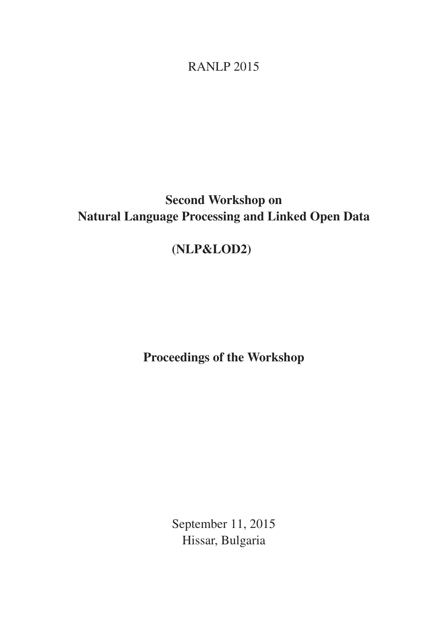RANLP 2015

# Second Workshop on Natural Language Processing and Linked Open Data

# (NLP&LOD2)

Proceedings of the Workshop

September 11, 2015 Hissar, Bulgaria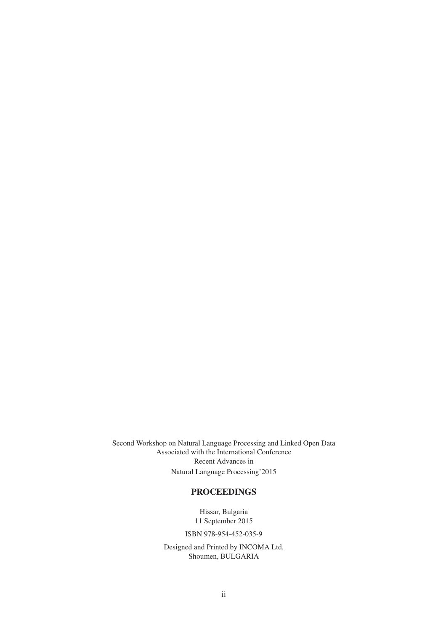Second Workshop on Natural Language Processing and Linked Open Data Associated with the International Conference Recent Advances in Natural Language Processing'2015

### PROCEEDINGS

Hissar, Bulgaria 11 September 2015

ISBN 978-954-452-035-9

Designed and Printed by INCOMA Ltd. Shoumen, BULGARIA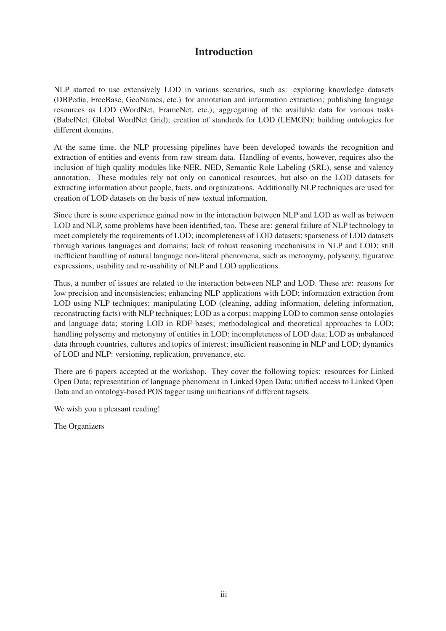## Introduction

NLP started to use extensively LOD in various scenarios, such as: exploring knowledge datasets (DBPedia, FreeBase, GeoNames, etc.) for annotation and information extraction; publishing language resources as LOD (WordNet, FrameNet, etc.); aggregating of the available data for various tasks (BabelNet, Global WordNet Grid); creation of standards for LOD (LEMON); building ontologies for different domains.

At the same time, the NLP processing pipelines have been developed towards the recognition and extraction of entities and events from raw stream data. Handling of events, however, requires also the inclusion of high quality modules like NER, NED, Semantic Role Labeling (SRL), sense and valency annotation. These modules rely not only on canonical resources, but also on the LOD datasets for extracting information about people, facts, and organizations. Additionally NLP techniques are used for creation of LOD datasets on the basis of new textual information.

Since there is some experience gained now in the interaction between NLP and LOD as well as between LOD and NLP, some problems have been identified, too. These are: general failure of NLP technology to meet completely the requirements of LOD; incompleteness of LOD datasets; sparseness of LOD datasets through various languages and domains; lack of robust reasoning mechanisms in NLP and LOD; still inefficient handling of natural language non-literal phenomena, such as metonymy, polysemy, figurative expressions; usability and re-usability of NLP and LOD applications.

Thus, a number of issues are related to the interaction between NLP and LOD. These are: reasons for low precision and inconsistencies; enhancing NLP applications with LOD; information extraction from LOD using NLP techniques; manipulating LOD (cleaning, adding information, deleting information, reconstructing facts) with NLP techniques; LOD as a corpus; mapping LOD to common sense ontologies and language data; storing LOD in RDF bases; methodological and theoretical approaches to LOD; handling polysemy and metonymy of entities in LOD; incompleteness of LOD data; LOD as unbalanced data through countries, cultures and topics of interest; insufficient reasoning in NLP and LOD; dynamics of LOD and NLP: versioning, replication, provenance, etc.

There are 6 papers accepted at the workshop. They cover the following topics: resources for Linked Open Data; representation of language phenomena in Linked Open Data; unified access to Linked Open Data and an ontology-based POS tagger using unifications of different tagsets.

We wish you a pleasant reading!

The Organizers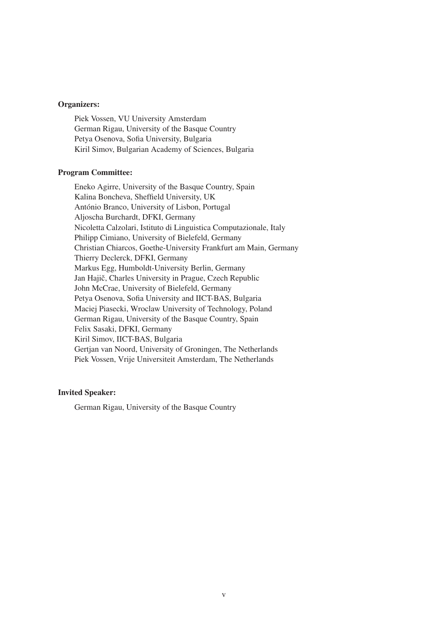#### Organizers:

Piek Vossen, VU University Amsterdam German Rigau, University of the Basque Country Petya Osenova, Sofia University, Bulgaria Kiril Simov, Bulgarian Academy of Sciences, Bulgaria

#### Program Committee:

Eneko Agirre, University of the Basque Country, Spain Kalina Boncheva, Sheffield University, UK António Branco, University of Lisbon, Portugal Aljoscha Burchardt, DFKI, Germany Nicoletta Calzolari, Istituto di Linguistica Computazionale, Italy Philipp Cimiano, University of Bielefeld, Germany Christian Chiarcos, Goethe-University Frankfurt am Main, Germany Thierry Declerck, DFKI, Germany Markus Egg, Humboldt-University Berlin, Germany Jan Hajič, Charles University in Prague, Czech Republic John McCrae, University of Bielefeld, Germany Petya Osenova, Sofia University and IICT-BAS, Bulgaria Maciej Piasecki, Wroclaw University of Technology, Poland German Rigau, University of the Basque Country, Spain Felix Sasaki, DFKI, Germany Kiril Simov, IICT-BAS, Bulgaria Gertjan van Noord, University of Groningen, The Netherlands Piek Vossen, Vrije Universiteit Amsterdam, The Netherlands

#### Invited Speaker:

German Rigau, University of the Basque Country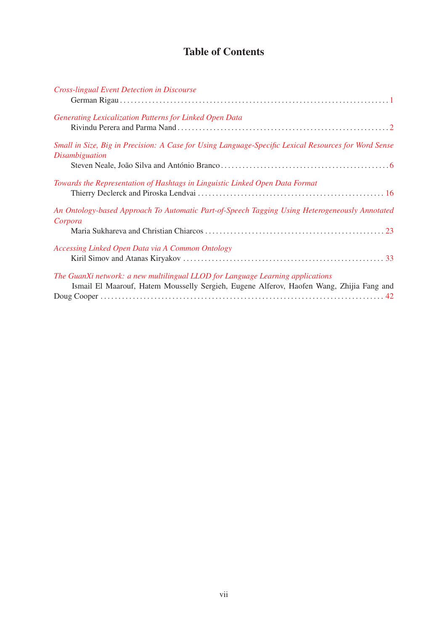## Table of Contents

| <b>Cross-lingual Event Detection in Discourse</b>                                                                                                                          |  |
|----------------------------------------------------------------------------------------------------------------------------------------------------------------------------|--|
| Generating Lexicalization Patterns for Linked Open Data                                                                                                                    |  |
| Small in Size, Big in Precision: A Case for Using Language-Specific Lexical Resources for Word Sense<br><i>Disambiguation</i>                                              |  |
| Towards the Representation of Hashtags in Linguistic Linked Open Data Format                                                                                               |  |
| An Ontology-based Approach To Automatic Part-of-Speech Tagging Using Heterogeneously Annotated<br>Corpora                                                                  |  |
| Accessing Linked Open Data via A Common Ontology                                                                                                                           |  |
| The GuanXi network: a new multilingual LLOD for Language Learning applications<br>Ismail El Maarouf, Hatem Mousselly Sergieh, Eugene Alferov, Haofen Wang, Zhijia Fang and |  |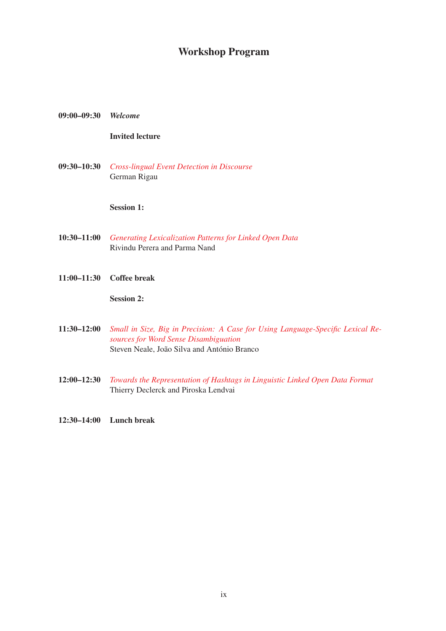## Workshop Program

#### 09:00–09:30 *Welcome*

### Invited lecture

09:30–10:30 *Cross-lingual Event Detection in Discourse* German Rigau

Session 1:

- 10:30–11:00 *Generating Lexicalization Patterns for Linked Open Data* Rivindu Perera and Parma Nand
- 11:00–11:30 Coffee break

Session 2:

- 11:30–12:00 *Small in Size, Big in Precision: A Case for Using Language-Specific Lexical Resources for Word Sense Disambiguation* Steven Neale, João Silva and António Branco
- 12:00–12:30 *Towards the Representation of Hashtags in Linguistic Linked Open Data Format* Thierry Declerck and Piroska Lendvai
- 12:30–14:00 Lunch break